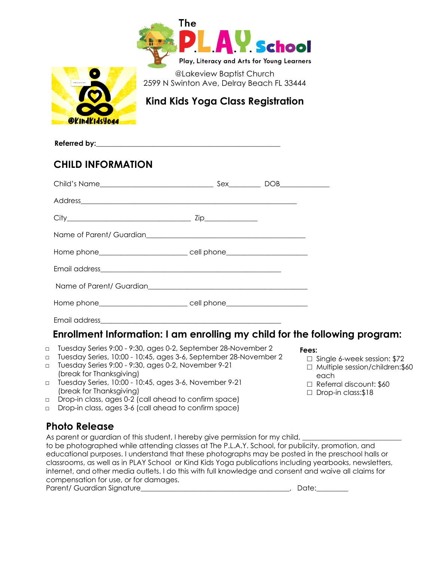



@Lakeview Baptist Church 2599 N Swinton Ave, Delray Beach FL 33444

**Kind Kids Yoga Class Registration**

Referred by:

## **CHILD INFORMATION**

### Email address\_\_\_\_\_\_\_\_\_\_\_\_\_\_\_\_\_\_\_\_\_\_\_\_\_\_\_\_\_\_\_\_\_\_\_\_\_\_\_\_\_\_\_\_\_\_\_\_\_\_\_

## **Enrollment Information: I am enrolling my child for the following program:**

- □ Tuesday Series 9:00 9:30, ages 0-2, September 28-November 2
- □ Tuesday Series, 10:00 10:45, ages 3-6, September 28-November 2
- □ Tuesday Series 9:00 9:30, ages 0-2, November 9-21 (break for Thanksgiving)
- □ Tuesday Series, 10:00 10:45, ages 3-6, November 9-21 (break for Thanksgiving)
- □ Drop-in class, ages 0-2 (call ahead to confirm space)
- □ Drop-in class, ages 3-6 (call ahead to confirm space)

## **Photo Release**

As parent or guardian of this student, I hereby give permission for my child,

to be photographed while attending classes at The P.L.A.Y. School, for publicity, promotion, and educational purposes. I understand that these photographs may be posted in the preschool halls or classrooms, as well as in PLAY School or Kind Kids Yoga publications including yearbooks, newsletters, internet, and other media outlets. I do this with full knowledge and consent and waive all claims for compensation for use, or for damages.

Parent/ Guardian Signature\_\_\_\_\_\_\_\_\_\_\_\_\_\_\_\_\_\_\_\_\_\_\_\_\_\_\_\_\_\_\_\_\_\_\_\_\_\_\_\_\_\_, Date:\_\_\_\_\_\_\_\_\_

#### **Fees:**

- □ Single 6-week session: \$72
- □ Multiple session/children: \$60 each
- □ Referral discount: \$60
- □ Drop-in class:\$18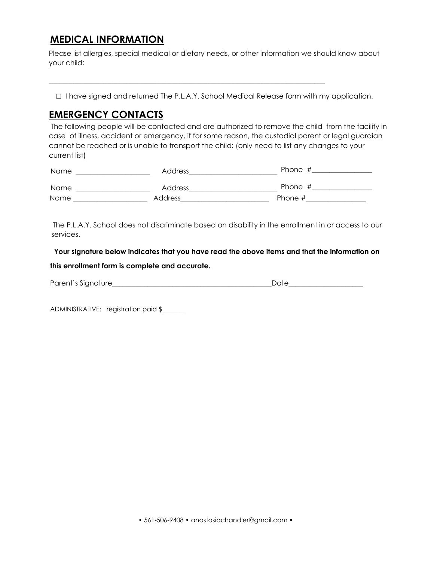## **MEDICAL INFORMATION**

Please list allergies, special medical or dietary needs, or other information we should know about your child:

□ I have signed and returned The P.L.A.Y. School Medical Release form with my application.

\_\_\_\_\_\_\_\_\_\_\_\_\_\_\_\_\_\_\_\_\_\_\_\_\_\_\_\_\_\_\_\_\_\_\_\_\_\_\_\_\_\_\_\_\_\_\_\_\_\_\_\_\_\_\_\_\_\_\_\_\_\_\_\_\_\_\_\_\_\_\_\_\_\_\_\_\_\_

## **EMERGENCY CONTACTS**

 The following people will be contacted and are authorized to remove the child from the facility in case of illness, accident or emergency, if for some reason, the custodial parent or legal guardian cannot be reached or is unable to transport the child: (only need to list any changes to your current list)

| Name | Address | Phone # |
|------|---------|---------|
| Name | Address | Phone # |
| Name | Address | Phone # |

The P.L.A.Y. School does not discriminate based on disability in the enrollment in or access to our services.

 **Your signature below indicates that you have read the above items and that the information on** 

#### **this enrollment form is complete and accurate.**

| Parent's Signature | Date |
|--------------------|------|
|                    |      |

ADMINISTRATIVE: registration paid \$\_\_\_\_\_\_\_